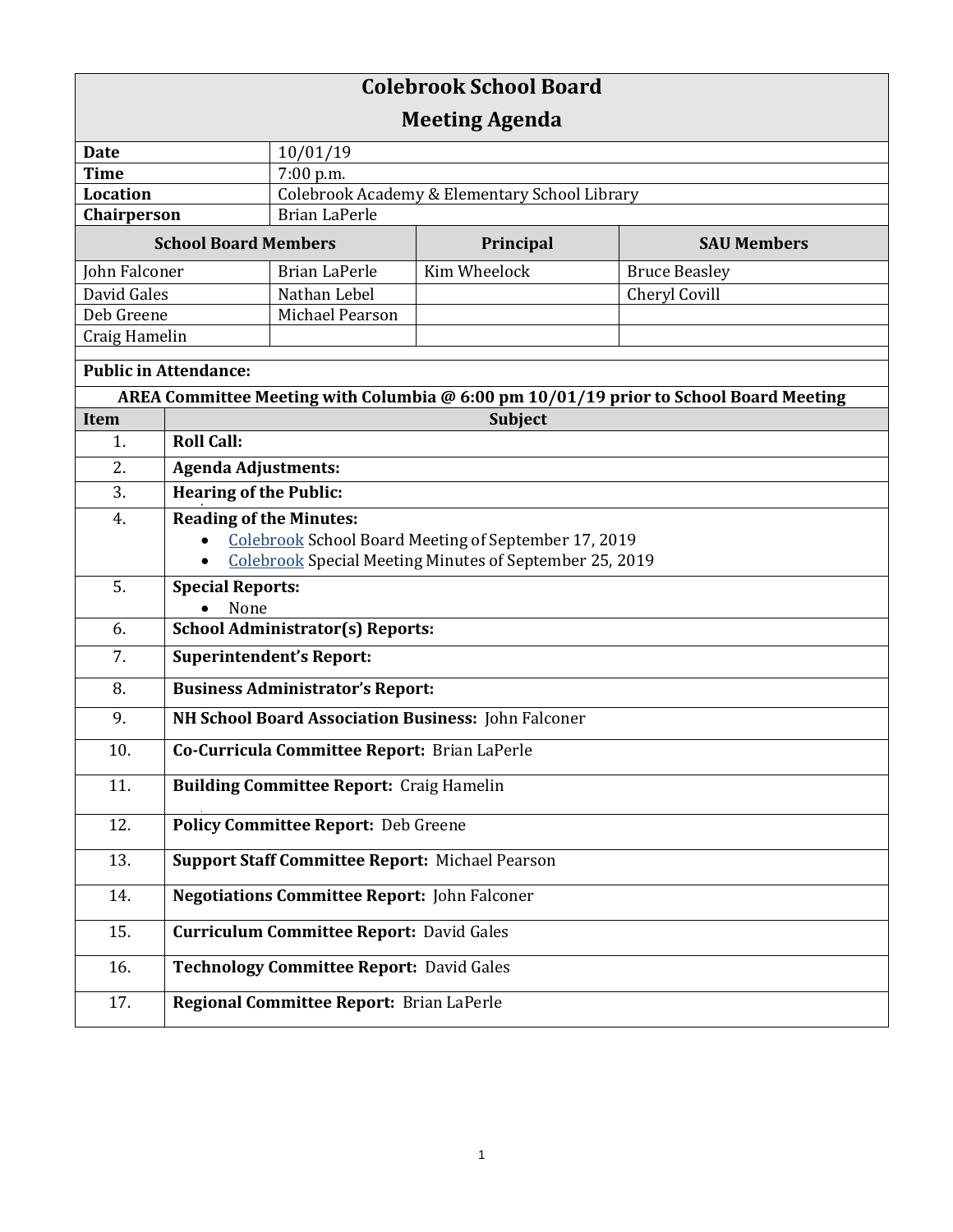| <b>Colebrook School Board</b>                                                         |                                                        |                                                         |                                                      |                      |  |
|---------------------------------------------------------------------------------------|--------------------------------------------------------|---------------------------------------------------------|------------------------------------------------------|----------------------|--|
| <b>Meeting Agenda</b>                                                                 |                                                        |                                                         |                                                      |                      |  |
| <b>Date</b>                                                                           |                                                        | 10/01/19                                                |                                                      |                      |  |
| <b>Time</b>                                                                           |                                                        | 7:00 p.m.                                               |                                                      |                      |  |
| Location                                                                              |                                                        | Colebrook Academy & Elementary School Library           |                                                      |                      |  |
| Chairperson                                                                           |                                                        | <b>Brian LaPerle</b>                                    |                                                      |                      |  |
| <b>School Board Members</b>                                                           |                                                        | Principal                                               | <b>SAU Members</b>                                   |                      |  |
| John Falconer                                                                         |                                                        | <b>Brian LaPerle</b>                                    | Kim Wheelock                                         | <b>Bruce Beasley</b> |  |
| David Gales                                                                           |                                                        | Nathan Lebel                                            |                                                      | Cheryl Covill        |  |
| Deb Greene                                                                            |                                                        | Michael Pearson                                         |                                                      |                      |  |
| Craig Hamelin                                                                         |                                                        |                                                         |                                                      |                      |  |
| <b>Public in Attendance:</b>                                                          |                                                        |                                                         |                                                      |                      |  |
| AREA Committee Meeting with Columbia @ 6:00 pm 10/01/19 prior to School Board Meeting |                                                        |                                                         |                                                      |                      |  |
| Item                                                                                  |                                                        |                                                         | Subject                                              |                      |  |
| 1.                                                                                    | <b>Roll Call:</b>                                      |                                                         |                                                      |                      |  |
| 2.                                                                                    | <b>Agenda Adjustments:</b>                             |                                                         |                                                      |                      |  |
| 3.                                                                                    | <b>Hearing of the Public:</b>                          |                                                         |                                                      |                      |  |
| 4.                                                                                    | <b>Reading of the Minutes:</b>                         |                                                         |                                                      |                      |  |
|                                                                                       |                                                        |                                                         | Colebrook School Board Meeting of September 17, 2019 |                      |  |
|                                                                                       |                                                        | Colebrook Special Meeting Minutes of September 25, 2019 |                                                      |                      |  |
| 5.                                                                                    | <b>Special Reports:</b>                                |                                                         |                                                      |                      |  |
|                                                                                       | None                                                   |                                                         |                                                      |                      |  |
| 6.                                                                                    | <b>School Administrator(s) Reports:</b>                |                                                         |                                                      |                      |  |
| 7.                                                                                    | <b>Superintendent's Report:</b>                        |                                                         |                                                      |                      |  |
| 8.                                                                                    | <b>Business Administrator's Report:</b>                |                                                         |                                                      |                      |  |
| 9.                                                                                    | NH School Board Association Business: John Falconer    |                                                         |                                                      |                      |  |
| 10.                                                                                   | Co-Curricula Committee Report: Brian LaPerle           |                                                         |                                                      |                      |  |
| 11.                                                                                   | <b>Building Committee Report: Craig Hamelin</b>        |                                                         |                                                      |                      |  |
| 12.                                                                                   | <b>Policy Committee Report: Deb Greene</b>             |                                                         |                                                      |                      |  |
| 13.                                                                                   | <b>Support Staff Committee Report: Michael Pearson</b> |                                                         |                                                      |                      |  |
| 14.                                                                                   |                                                        | <b>Negotiations Committee Report: John Falconer</b>     |                                                      |                      |  |
| 15.                                                                                   | <b>Curriculum Committee Report: David Gales</b>        |                                                         |                                                      |                      |  |
| 16.                                                                                   | <b>Technology Committee Report: David Gales</b>        |                                                         |                                                      |                      |  |
| 17.                                                                                   |                                                        | Regional Committee Report: Brian LaPerle                |                                                      |                      |  |